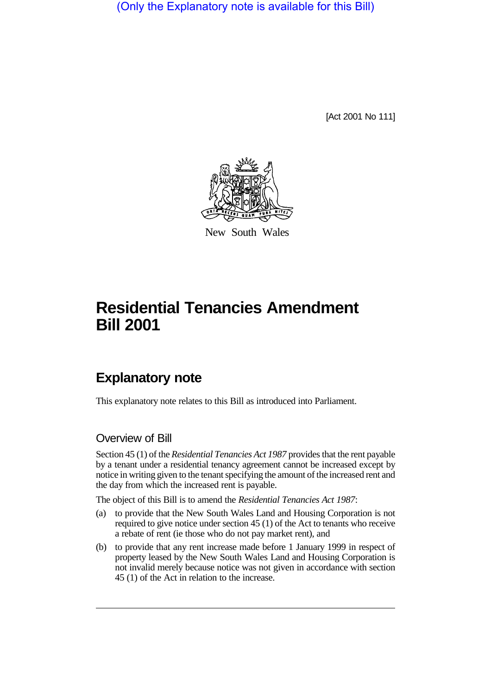(Only the Explanatory note is available for this Bill)

[Act 2001 No 111]



New South Wales

## **Residential Tenancies Amendment Bill 2001**

## **Explanatory note**

This explanatory note relates to this Bill as introduced into Parliament.

## Overview of Bill

Section 45 (1) of the *Residential Tenancies Act 1987* provides that the rent payable by a tenant under a residential tenancy agreement cannot be increased except by notice in writing given to the tenant specifying the amount of the increased rent and the day from which the increased rent is payable.

The object of this Bill is to amend the *Residential Tenancies Act 1987*:

- (a) to provide that the New South Wales Land and Housing Corporation is not required to give notice under section 45 (1) of the Act to tenants who receive a rebate of rent (ie those who do not pay market rent), and
- (b) to provide that any rent increase made before 1 January 1999 in respect of property leased by the New South Wales Land and Housing Corporation is not invalid merely because notice was not given in accordance with section 45 (1) of the Act in relation to the increase.